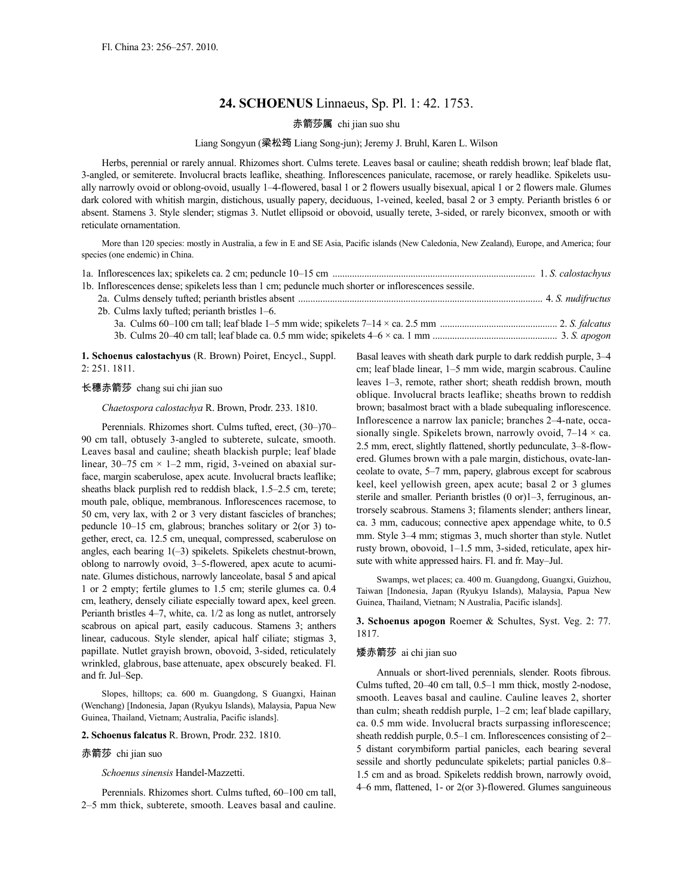# **24. SCHOENUS** Linnaeus, Sp. Pl. 1: 42. 1753.

## 赤箭莎属 chi jian suo shu

### Liang Songyun (梁松筠 Liang Song-jun); Jeremy J. Bruhl, Karen L. Wilson

Herbs, perennial or rarely annual. Rhizomes short. Culms terete. Leaves basal or cauline; sheath reddish brown; leaf blade flat, 3-angled, or semiterete. Involucral bracts leaflike, sheathing. Inflorescences paniculate, racemose, or rarely headlike. Spikelets usually narrowly ovoid or oblong-ovoid, usually 1–4-flowered, basal 1 or 2 flowers usually bisexual, apical 1 or 2 flowers male. Glumes dark colored with whitish margin, distichous, usually papery, deciduous, 1-veined, keeled, basal 2 or 3 empty. Perianth bristles 6 or absent. Stamens 3. Style slender; stigmas 3. Nutlet ellipsoid or obovoid, usually terete, 3-sided, or rarely biconvex, smooth or with reticulate ornamentation.

More than 120 species: mostly in Australia, a few in E and SE Asia, Pacific islands (New Caledonia, New Zealand), Europe, and America; four species (one endemic) in China.

| 1b. Inflorescences dense; spikelets less than 1 cm; peduncle much shorter or inflorescences sessile. |  |
|------------------------------------------------------------------------------------------------------|--|
|                                                                                                      |  |
| 2b. Culms laxly tufted; perianth bristles 1–6.                                                       |  |
|                                                                                                      |  |
|                                                                                                      |  |

**1. Schoenus calostachyus** (R. Brown) Poiret, Encycl., Suppl. 2: 251. 1811.

#### 长穗赤箭莎 chang sui chi jian suo

*Chaetospora calostachya* R. Brown, Prodr. 233. 1810.

Perennials. Rhizomes short. Culms tufted, erect, (30–)70– 90 cm tall, obtusely 3-angled to subterete, sulcate, smooth. Leaves basal and cauline; sheath blackish purple; leaf blade linear, 30–75 cm  $\times$  1–2 mm, rigid, 3-veined on abaxial surface, margin scaberulose, apex acute. Involucral bracts leaflike; sheaths black purplish red to reddish black, 1.5–2.5 cm, terete; mouth pale, oblique, membranous. Inflorescences racemose, to 50 cm, very lax, with 2 or 3 very distant fascicles of branches; peduncle 10–15 cm, glabrous; branches solitary or 2(or 3) together, erect, ca. 12.5 cm, unequal, compressed, scaberulose on angles, each bearing 1(–3) spikelets. Spikelets chestnut-brown, oblong to narrowly ovoid, 3–5-flowered, apex acute to acuminate. Glumes distichous, narrowly lanceolate, basal 5 and apical 1 or 2 empty; fertile glumes to 1.5 cm; sterile glumes ca. 0.4 cm, leathery, densely ciliate especially toward apex, keel green. Perianth bristles 4–7, white, ca. 1/2 as long as nutlet, antrorsely scabrous on apical part, easily caducous. Stamens 3; anthers linear, caducous. Style slender, apical half ciliate; stigmas 3, papillate. Nutlet grayish brown, obovoid, 3-sided, reticulately wrinkled, glabrous, base attenuate, apex obscurely beaked. Fl. and fr. Jul–Sep.

Slopes, hilltops; ca. 600 m. Guangdong, S Guangxi, Hainan (Wenchang) [Indonesia, Japan (Ryukyu Islands), Malaysia, Papua New Guinea, Thailand, Vietnam; Australia, Pacific islands].

### **2. Schoenus falcatus** R. Brown, Prodr. 232. 1810.

#### 赤箭莎 chi jian suo

*Schoenus sinensis* Handel-Mazzetti.

Perennials. Rhizomes short. Culms tufted, 60–100 cm tall, 2–5 mm thick, subterete, smooth. Leaves basal and cauline. Basal leaves with sheath dark purple to dark reddish purple, 3–4 cm; leaf blade linear, 1–5 mm wide, margin scabrous. Cauline leaves 1–3, remote, rather short; sheath reddish brown, mouth oblique. Involucral bracts leaflike; sheaths brown to reddish brown; basalmost bract with a blade subequaling inflorescence. Inflorescence a narrow lax panicle; branches 2–4-nate, occasionally single. Spikelets brown, narrowly ovoid,  $7-14 \times$  ca. 2.5 mm, erect, slightly flattened, shortly pedunculate, 3–8-flowered. Glumes brown with a pale margin, distichous, ovate-lanceolate to ovate, 5–7 mm, papery, glabrous except for scabrous keel, keel yellowish green, apex acute; basal 2 or 3 glumes sterile and smaller. Perianth bristles (0 or)1-3, ferruginous, antrorsely scabrous. Stamens 3; filaments slender; anthers linear, ca. 3 mm, caducous; connective apex appendage white, to 0.5 mm. Style 3–4 mm; stigmas 3, much shorter than style. Nutlet rusty brown, obovoid, 1–1.5 mm, 3-sided, reticulate, apex hirsute with white appressed hairs. Fl. and fr. May–Jul.

Swamps, wet places; ca. 400 m. Guangdong, Guangxi, Guizhou, Taiwan [Indonesia, Japan (Ryukyu Islands), Malaysia, Papua New Guinea, Thailand, Vietnam; N Australia, Pacific islands].

**3. Schoenus apogon** Roemer & Schultes, Syst. Veg. 2: 77. 1817.

#### 矮赤箭莎 ai chi jian suo

Annuals or short-lived perennials, slender. Roots fibrous. Culms tufted, 20–40 cm tall, 0.5–1 mm thick, mostly 2-nodose, smooth. Leaves basal and cauline. Cauline leaves 2, shorter than culm; sheath reddish purple, 1–2 cm; leaf blade capillary, ca. 0.5 mm wide. Involucral bracts surpassing inflorescence; sheath reddish purple, 0.5–1 cm. Inflorescences consisting of 2– 5 distant corymbiform partial panicles, each bearing several sessile and shortly pedunculate spikelets; partial panicles 0.8– 1.5 cm and as broad. Spikelets reddish brown, narrowly ovoid, 4–6 mm, flattened, 1- or 2(or 3)-flowered. Glumes sanguineous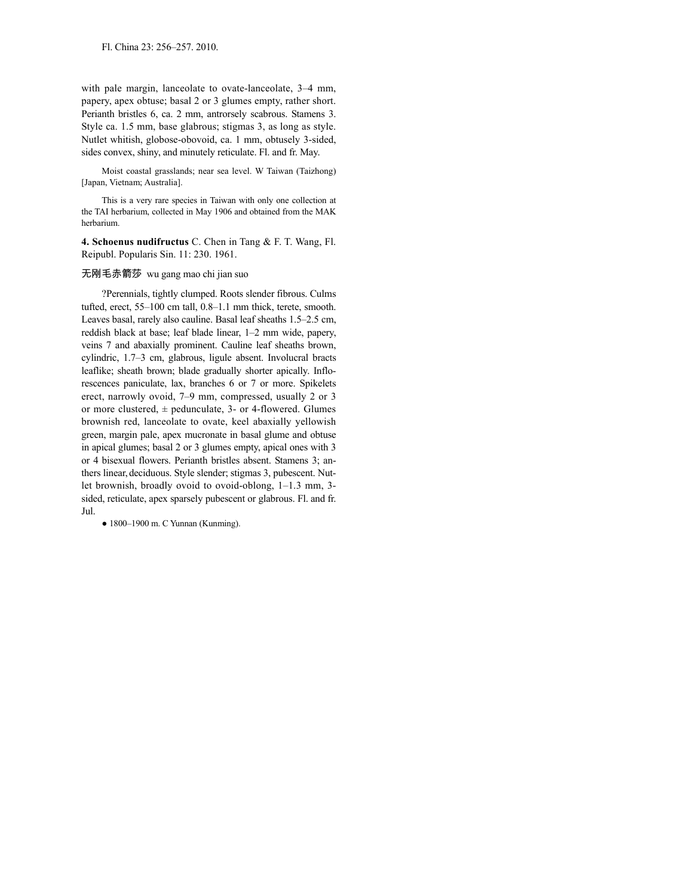with pale margin, lanceolate to ovate-lanceolate, 3–4 mm, papery, apex obtuse; basal 2 or 3 glumes empty, rather short. Perianth bristles 6, ca. 2 mm, antrorsely scabrous. Stamens 3. Style ca. 1.5 mm, base glabrous; stigmas 3, as long as style. Nutlet whitish, globose-obovoid, ca. 1 mm, obtusely 3-sided, sides convex, shiny, and minutely reticulate. Fl. and fr. May.

Moist coastal grasslands; near sea level. W Taiwan (Taizhong) [Japan, Vietnam; Australia].

This is a very rare species in Taiwan with only one collection at the TAI herbarium, collected in May 1906 and obtained from the MAK herbarium.

**4. Schoenus nudifructus** C. Chen in Tang & F. T. Wang, Fl. Reipubl. Popularis Sin. 11: 230. 1961.

#### 无刚毛赤箭莎 wu gang mao chi jian suo

?Perennials, tightly clumped. Roots slender fibrous. Culms tufted, erect, 55–100 cm tall, 0.8–1.1 mm thick, terete, smooth. Leaves basal, rarely also cauline. Basal leaf sheaths 1.5–2.5 cm, reddish black at base; leaf blade linear, 1–2 mm wide, papery, veins 7 and abaxially prominent. Cauline leaf sheaths brown, cylindric, 1.7–3 cm, glabrous, ligule absent. Involucral bracts leaflike; sheath brown; blade gradually shorter apically. Inflorescences paniculate, lax, branches 6 or 7 or more. Spikelets erect, narrowly ovoid, 7–9 mm, compressed, usually 2 or 3 or more clustered,  $\pm$  pedunculate, 3- or 4-flowered. Glumes brownish red, lanceolate to ovate, keel abaxially yellowish green, margin pale, apex mucronate in basal glume and obtuse in apical glumes; basal 2 or 3 glumes empty, apical ones with 3 or 4 bisexual flowers. Perianth bristles absent. Stamens 3; anthers linear, deciduous. Style slender; stigmas 3, pubescent. Nutlet brownish, broadly ovoid to ovoid-oblong, 1–1.3 mm, 3 sided, reticulate, apex sparsely pubescent or glabrous. Fl. and fr. Jul.

● 1800–1900 m. C Yunnan (Kunming).